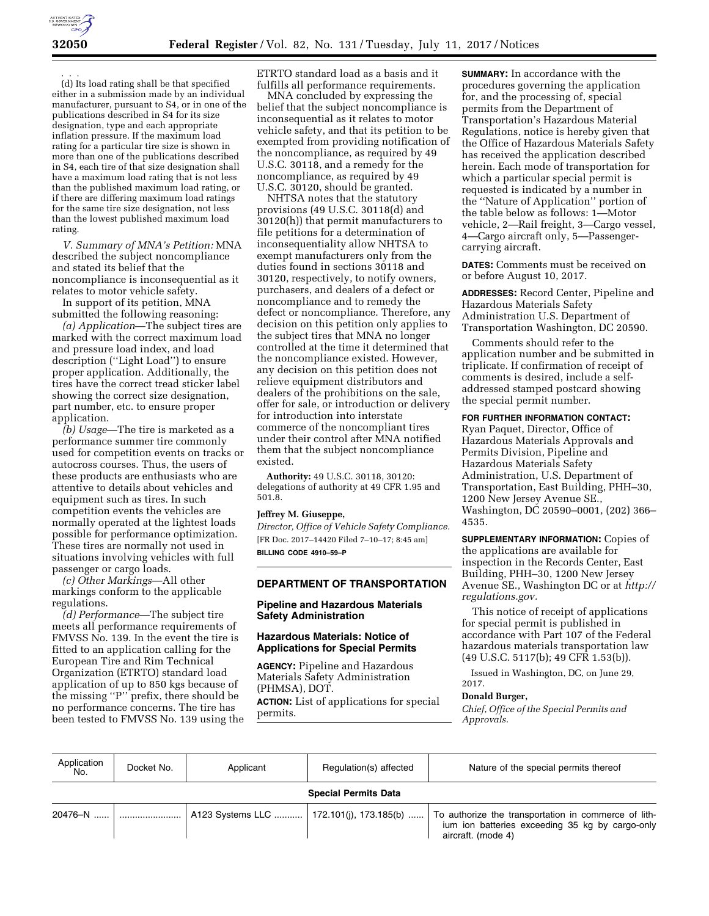

. . .

(d) Its load rating shall be that specified either in a submission made by an individual manufacturer, pursuant to S4, or in one of the publications described in S4 for its size designation, type and each appropriate inflation pressure. If the maximum load rating for a particular tire size is shown in more than one of the publications described in S4, each tire of that size designation shall have a maximum load rating that is not less than the published maximum load rating, or if there are differing maximum load ratings for the same tire size designation, not less than the lowest published maximum load rating.

*V. Summary of MNA's Petition:* MNA described the subject noncompliance and stated its belief that the noncompliance is inconsequential as it relates to motor vehicle safety.

In support of its petition, MNA submitted the following reasoning:

*(a) Application*—The subject tires are marked with the correct maximum load and pressure load index, and load description (''Light Load'') to ensure proper application. Additionally, the tires have the correct tread sticker label showing the correct size designation, part number, etc. to ensure proper application.

*(b) Usage*—The tire is marketed as a performance summer tire commonly used for competition events on tracks or autocross courses. Thus, the users of these products are enthusiasts who are attentive to details about vehicles and equipment such as tires. In such competition events the vehicles are normally operated at the lightest loads possible for performance optimization. These tires are normally not used in situations involving vehicles with full passenger or cargo loads.

*(c) Other Markings*—All other markings conform to the applicable regulations.

*(d) Performance*—The subject tire meets all performance requirements of FMVSS No. 139. In the event the tire is fitted to an application calling for the European Tire and Rim Technical Organization (ETRTO) standard load application of up to 850 kgs because of the missing ''P'' prefix, there should be no performance concerns. The tire has been tested to FMVSS No. 139 using the ETRTO standard load as a basis and it fulfills all performance requirements.

MNA concluded by expressing the belief that the subject noncompliance is inconsequential as it relates to motor vehicle safety, and that its petition to be exempted from providing notification of the noncompliance, as required by 49 U.S.C. 30118, and a remedy for the noncompliance, as required by 49 U.S.C. 30120, should be granted.

NHTSA notes that the statutory provisions (49 U.S.C. 30118(d) and 30120(h)) that permit manufacturers to file petitions for a determination of inconsequentiality allow NHTSA to exempt manufacturers only from the duties found in sections 30118 and 30120, respectively, to notify owners, purchasers, and dealers of a defect or noncompliance and to remedy the defect or noncompliance. Therefore, any decision on this petition only applies to the subject tires that MNA no longer controlled at the time it determined that the noncompliance existed. However, any decision on this petition does not relieve equipment distributors and dealers of the prohibitions on the sale, offer for sale, or introduction or delivery for introduction into interstate commerce of the noncompliant tires under their control after MNA notified them that the subject noncompliance existed.

**Authority:** 49 U.S.C. 30118, 30120: delegations of authority at 49 CFR 1.95 and 501.8.

#### **Jeffrey M. Giuseppe,**

*Director, Office of Vehicle Safety Compliance.*  [FR Doc. 2017–14420 Filed 7–10–17; 8:45 am] **BILLING CODE 4910–59–P** 

### **DEPARTMENT OF TRANSPORTATION**

## **Pipeline and Hazardous Materials Safety Administration**

## **Hazardous Materials: Notice of Applications for Special Permits**

**AGENCY:** Pipeline and Hazardous Materials Safety Administration (PHMSA), DOT. **ACTION:** List of applications for special permits.

**SUMMARY:** In accordance with the procedures governing the application for, and the processing of, special permits from the Department of Transportation's Hazardous Material Regulations, notice is hereby given that the Office of Hazardous Materials Safety has received the application described herein. Each mode of transportation for which a particular special permit is requested is indicated by a number in the ''Nature of Application'' portion of the table below as follows: 1—Motor vehicle, 2—Rail freight, 3—Cargo vessel, 4—Cargo aircraft only, 5—Passengercarrying aircraft.

**DATES:** Comments must be received on or before August 10, 2017.

**ADDRESSES:** Record Center, Pipeline and Hazardous Materials Safety Administration U.S. Department of Transportation Washington, DC 20590.

Comments should refer to the application number and be submitted in triplicate. If confirmation of receipt of comments is desired, include a selfaddressed stamped postcard showing the special permit number.

# **FOR FURTHER INFORMATION CONTACT:**

Ryan Paquet, Director, Office of Hazardous Materials Approvals and Permits Division, Pipeline and Hazardous Materials Safety Administration, U.S. Department of Transportation, East Building, PHH–30, 1200 New Jersey Avenue SE., Washington, DC 20590–0001, (202) 366– 4535.

**SUPPLEMENTARY INFORMATION:** Copies of the applications are available for inspection in the Records Center, East Building, PHH–30, 1200 New Jersey Avenue SE., Washington DC or at *[http://](http://regulations.gov) [regulations.gov.](http://regulations.gov)* 

This notice of receipt of applications for special permit is published in accordance with Part 107 of the Federal hazardous materials transportation law (49 U.S.C. 5117(b); 49 CFR 1.53(b)).

Issued in Washington, DC, on June 29, 2017.

#### **Donald Burger,**

*Chief, Office of the Special Permits and Approvals.* 

| Application<br>No.          | Docket No. | Applicant                                  | Regulation(s) affected | Nature of the special permits thereof                                                                                         |  |  |  |
|-----------------------------|------------|--------------------------------------------|------------------------|-------------------------------------------------------------------------------------------------------------------------------|--|--|--|
| <b>Special Permits Data</b> |            |                                            |                        |                                                                                                                               |  |  |  |
| 20476–N ……                  |            | A123 Systems LLC    172.101(i), 173.185(b) |                        | To authorize the transportation in commerce of lith-<br>jum ion batteries exceeding 35 kg by cargo-only<br>aircraft. (mode 4) |  |  |  |